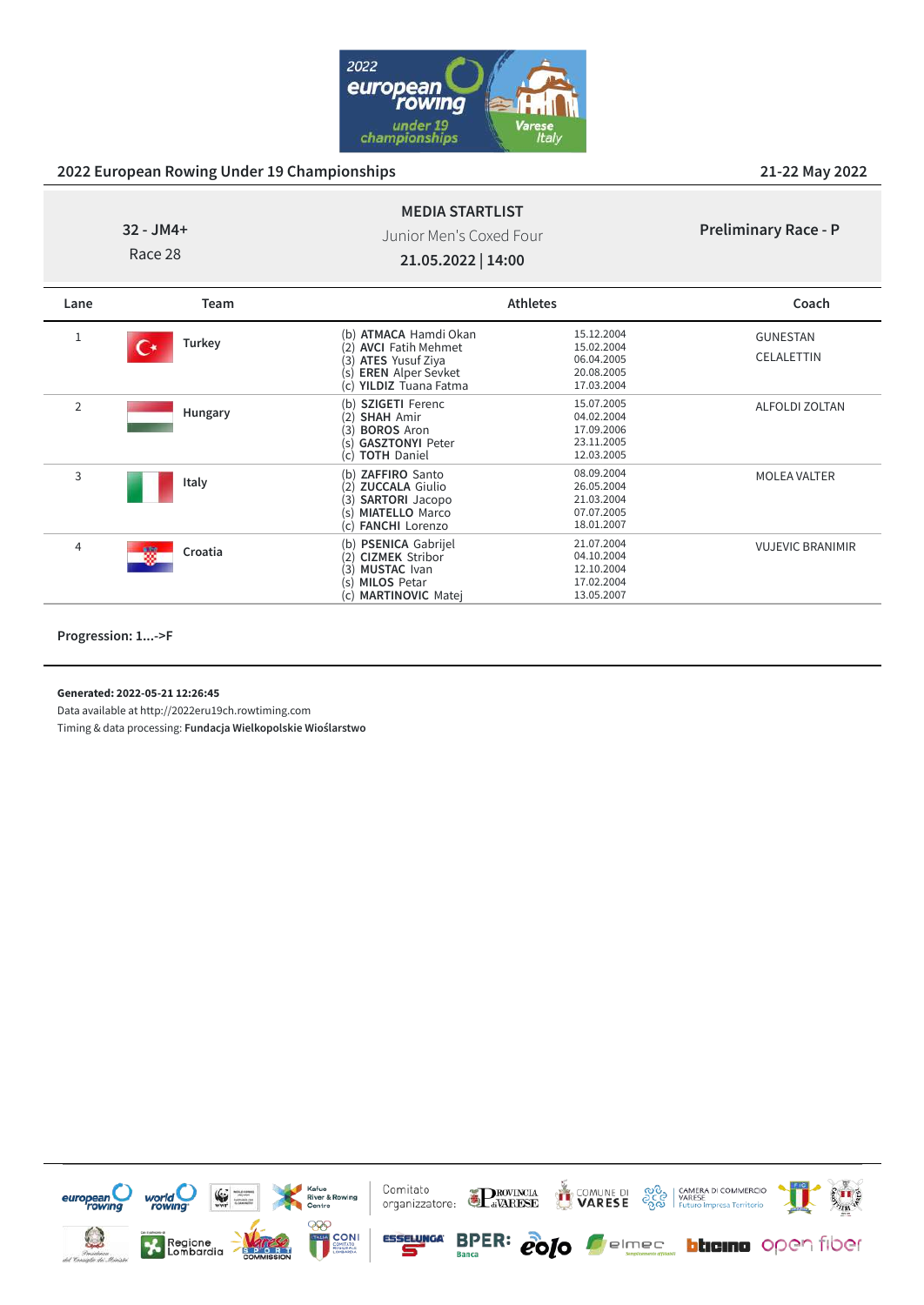

# **32 - JM4+**

Junior Men's Coxed Four

**MEDIA STARTLIST**

**21.05.2022 | 14:00**

| <b>Preliminary Race - P</b> |  |  |
|-----------------------------|--|--|
|-----------------------------|--|--|

Race 28

| Lane   | Team         |                                                                                                                                                          | <b>Athletes</b>                                                    | Coach                         |
|--------|--------------|----------------------------------------------------------------------------------------------------------------------------------------------------------|--------------------------------------------------------------------|-------------------------------|
| Turkey |              | (b) ATMACA Hamdi Okan<br><b>AVCI</b> Fatih Mehmet<br><b>ATES Yusuf Ziya</b><br>(3)<br><b>EREN</b> Alper Sevket<br>(S)<br>(c) YILDIZ Tuana Fatma          | 15.12.2004<br>15.02.2004<br>06.04.2005<br>20.08.2005<br>17.03.2004 | <b>GUNESTAN</b><br>CELALETTIN |
| 2      | Hungary      | <b>SZIGETI Ferenc</b><br>(b)<br><b>SHAH Amir</b><br>(2)<br><b>BOROS Aron</b><br>(3)<br><b>GASZTONYI Peter</b><br>(S)<br><b>TOTH Daniel</b><br>(c)        | 15.07.2005<br>04.02.2004<br>17.09.2006<br>23.11.2005<br>12.03.2005 | ALFOLDI ZOLTAN                |
| 3      | Italy        | <b>ZAFFIRO</b> Santo<br>(b)<br><b>ZUCCALA Giulio</b><br>(2)<br>(3)<br><b>SARTORI</b> Jacopo<br><b>MIATELLO Marco</b><br>(S)<br>(c) <b>FANCHI</b> Lorenzo | 08.09.2004<br>26.05.2004<br>21.03.2004<br>07.07.2005<br>18.01.2007 | <b>MOLEA VALTER</b>           |
| 4      | 辍<br>Croatia | (b) PSENICA Gabrijel<br><b>CIZMEK Stribor</b><br>(2)<br><b>MUSTAC</b> Ivan<br>(3)<br><b>MILOS Petar</b><br>(s)                                           | 21.07.2004<br>04.10.2004<br>12.10.2004<br>17.02.2004               | <b>VUJEVIC BRANIMIR</b>       |

(c) **MARTINOVIC** Matej 13.05.2007

(s) **MILOS** Petar 17.02.2004<br>
(c) **MARTINOVIC** Matei 13.05.2007

**Progression: 1...->F**

**Generated: 2022-05-21 12:26:45**

Data available at http://2022eru19ch.rowtiming.com

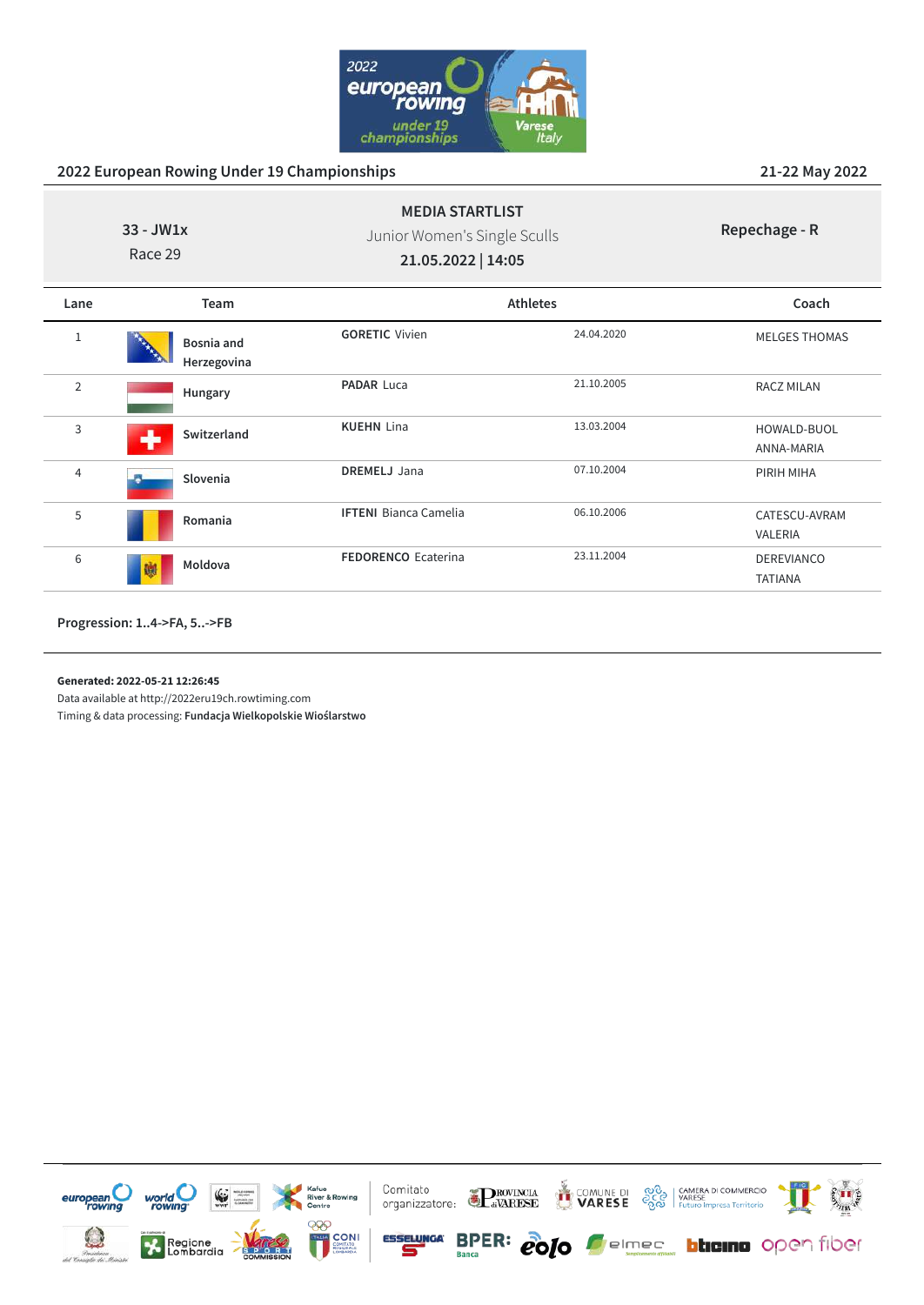

|                | $33 - JW1x$<br>Race 29    | <b>MEDIA STARTLIST</b><br>Junior Women's Single Sculls<br>21.05.2022   14:05 |            | Repechage - R                       |
|----------------|---------------------------|------------------------------------------------------------------------------|------------|-------------------------------------|
| Lane           | Team                      |                                                                              | Athletes   | Coach                               |
| 1              | Bosnia and<br>Herzegovina | <b>GORETIC Vivien</b>                                                        | 24.04.2020 | <b>MELGES THOMAS</b>                |
| $\overline{2}$ | Hungary                   | <b>PADAR Luca</b>                                                            | 21.10.2005 | <b>RACZ MILAN</b>                   |
| 3              | Switzerland<br>↔          | <b>KUEHN Lina</b>                                                            | 13.03.2004 | HOWALD-BUOL<br>ANNA-MARIA           |
| 4              | Slovenia                  | <b>DREMELJ</b> Jana                                                          | 07.10.2004 | PIRIH MIHA                          |
| 5              | Romania                   | <b>IFTENI Bianca Camelia</b>                                                 | 06.10.2006 | CATESCU-AVRAM<br>VALERIA            |
| 6              | Moldova<br>碰              | <b>FEDORENCO Ecaterina</b>                                                   | 23.11.2004 | <b>DEREVIANCO</b><br><b>TATIANA</b> |
|                |                           |                                                                              |            |                                     |

**Progression: 1..4->FA, 5..->FB**

**Generated: 2022-05-21 12:26:45**

Data available at http://2022eru19ch.rowtiming.com

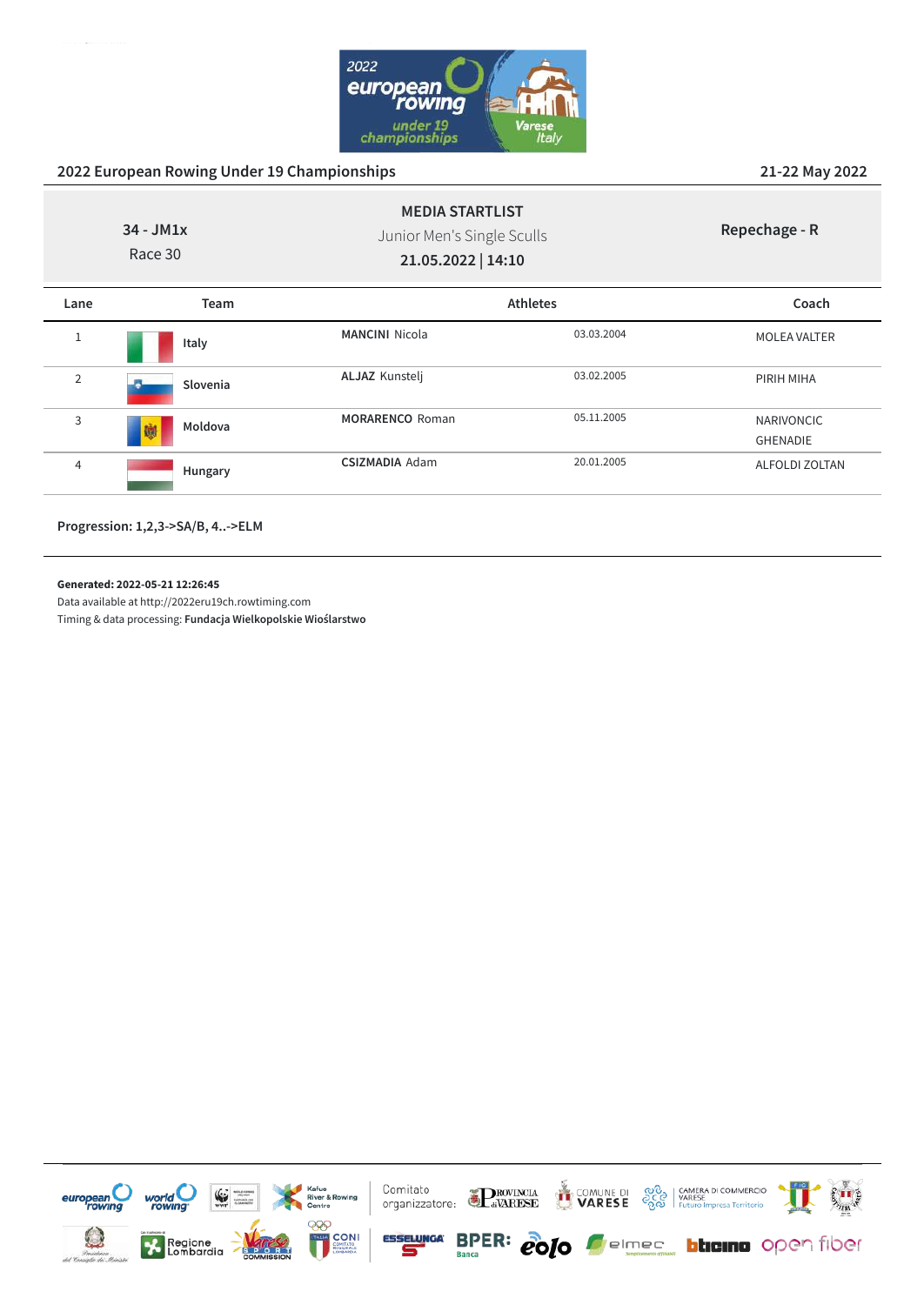

|                | $34 - JM1x$<br>Race 30 | <b>MEDIA STARTLIST</b><br>Junior Men's Single Sculls<br>21.05.2022   14:10 |                 | Repechage - R                        |
|----------------|------------------------|----------------------------------------------------------------------------|-----------------|--------------------------------------|
| Lane           | Team                   |                                                                            | <b>Athletes</b> | Coach                                |
| $1\,$          | Italy                  | <b>MANCINI Nicola</b>                                                      | 03.03.2004      | <b>MOLEA VALTER</b>                  |
| $\overline{2}$ | Slovenia               | <b>ALJAZ Kunstelj</b>                                                      | 03.02.2005      | PIRIH MIHA                           |
| 3              | Moldova<br>鱜           | <b>MORARENCO Roman</b>                                                     | 05.11.2005      | <b>NARIVONCIC</b><br><b>GHENADIE</b> |
| $\overline{4}$ | Hungary                | <b>CSIZMADIA Adam</b>                                                      | 20.01.2005      | ALFOLDI ZOLTAN                       |

**Progression: 1,2,3->SA/B, 4..->ELM**

**Generated: 2022-05-21 12:26:45**

Data available at http://2022eru19ch.rowtiming.com

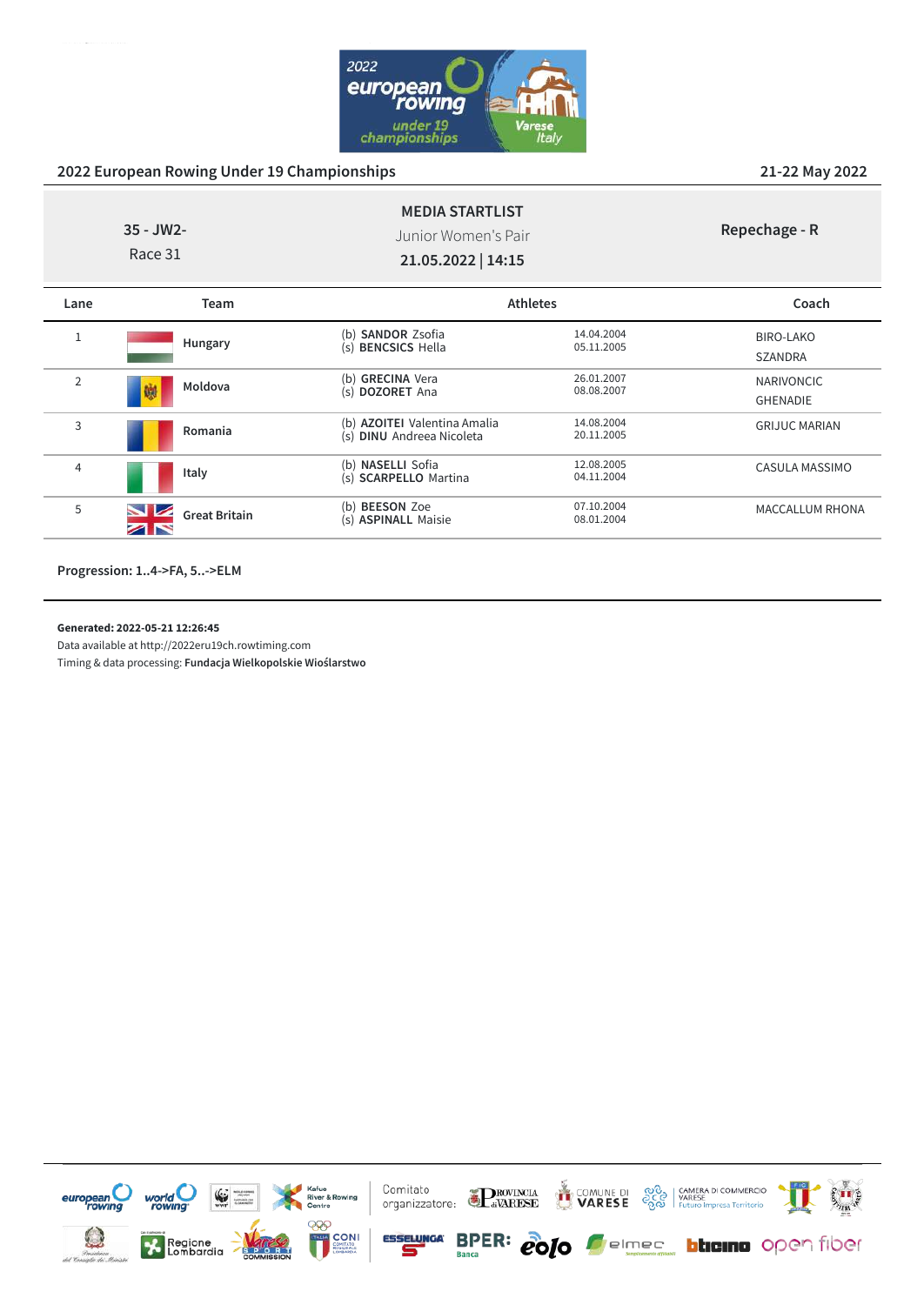

|                | 35 - JW2-<br>Race 31       | <b>MEDIA STARTLIST</b><br>Junior Women's Pair<br>21.05.2022   14:15 |                          | Repechage - R                        |
|----------------|----------------------------|---------------------------------------------------------------------|--------------------------|--------------------------------------|
| Lane           | Team                       | <b>Athletes</b>                                                     |                          | Coach                                |
| $\mathbf{1}$   | Hungary                    | <b>SANDOR Zsofia</b><br>(b)<br>(s) BENCSICS Hella                   | 14.04.2004<br>05.11.2005 | BIRO-LAKO<br><b>SZANDRA</b>          |
| $\overline{2}$ | Moldova<br>戀               | (b) GRECINA Vera<br>(s) DOZORET Ana                                 | 26.01.2007<br>08.08.2007 | <b>NARIVONCIC</b><br><b>GHENADIE</b> |
| 3              | Romania                    | (b) <b>AZOITEI</b> Valentina Amalia<br>(s) DINU Andreea Nicoleta    | 14.08.2004<br>20.11.2005 | <b>GRIJUC MARIAN</b>                 |
| 4              | Italy                      | (b) NASELLI Sofia<br>(s) SCARPELLO Martina                          | 12.08.2005<br>04.11.2004 | CASULA MASSIMO                       |
| 5              | <b>Great Britain</b><br>ZN | (b) <b>BEESON</b> Zoe<br>(s) <b>ASPINALL</b> Maisie                 | 07.10.2004<br>08.01.2004 | <b>MACCALLUM RHONA</b>               |

**Progression: 1..4->FA, 5..->ELM**

#### **Generated: 2022-05-21 12:26:45**

Data available at http://2022eru19ch.rowtiming.com

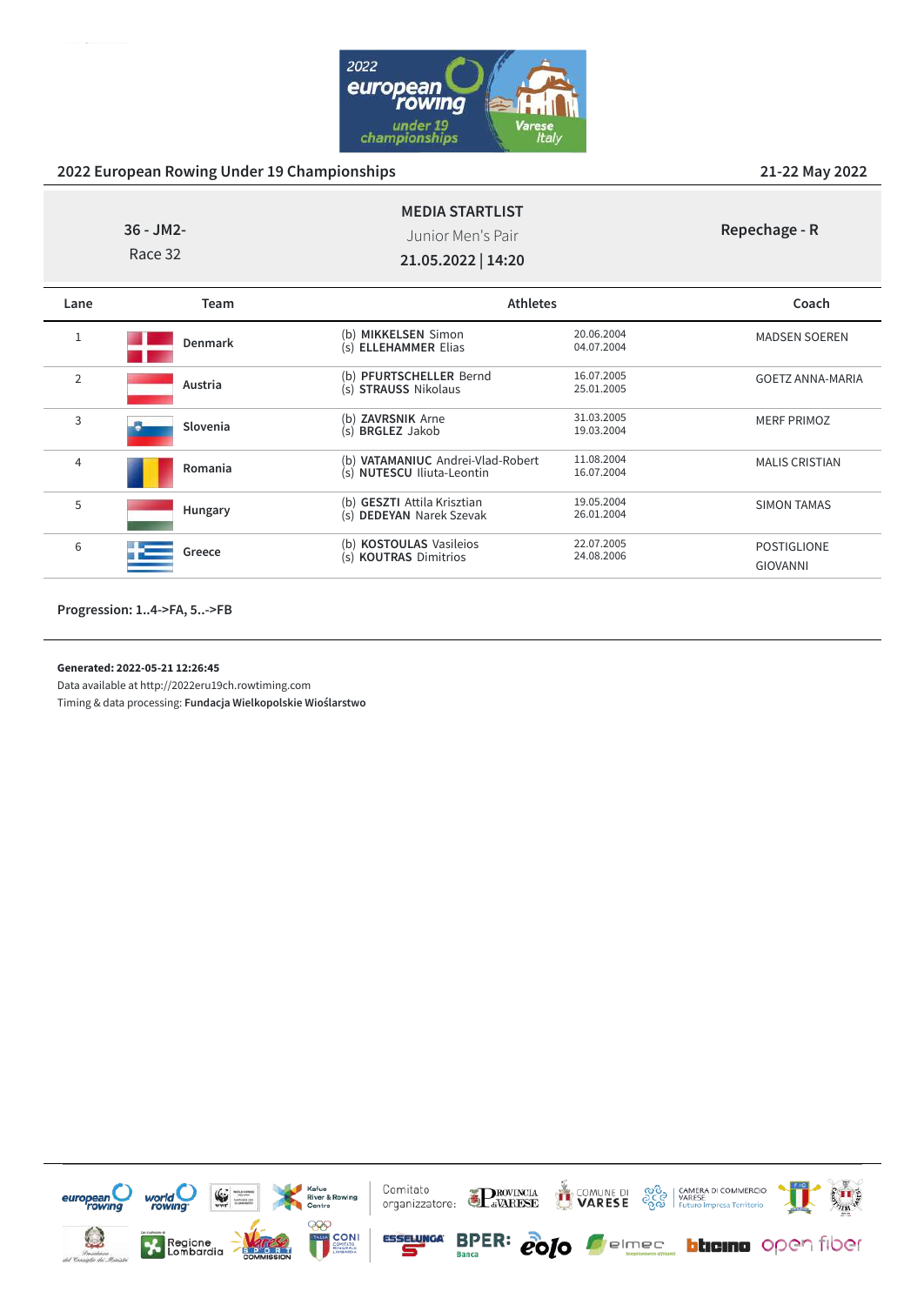

|                | $36 - JM2 -$<br>Race 32 | <b>MEDIA STARTLIST</b><br>Junior Men's Pair<br>21.05.2022   14:20 |                          | Repechage - R                         |
|----------------|-------------------------|-------------------------------------------------------------------|--------------------------|---------------------------------------|
| Lane           | Team                    | <b>Athletes</b>                                                   |                          | Coach                                 |
| $\mathbf{1}$   | <b>Denmark</b>          | (b) MIKKELSEN Simon<br>(s) <b>ELLEHAMMER</b> Elias                | 20.06.2004<br>04.07.2004 | <b>MADSEN SOEREN</b>                  |
| $\overline{2}$ | Austria                 | (b) PFURTSCHELLER Bernd<br>(s) STRAUSS Nikolaus                   | 16.07.2005<br>25.01.2005 | <b>GOETZ ANNA-MARIA</b>               |
| 3              | Slovenia                | (b) ZAVRSNIK Arne<br>(s) BRGLEZ Jakob                             | 31.03.2005<br>19.03.2004 | <b>MERF PRIMOZ</b>                    |
| 4              | Romania                 | (b) VATAMANIUC Andrei-Vlad-Robert<br>(s) NUTESCU Iliuta-Leontin   | 11.08.2004<br>16.07.2004 | <b>MALIS CRISTIAN</b>                 |
| 5              | Hungary                 | (b) GESZTI Attila Krisztian<br>(s) DEDEYAN Narek Szevak           | 19.05.2004<br>26.01.2004 | <b>SIMON TAMAS</b>                    |
| 6              | Greece                  | (b) KOSTOULAS Vasileios<br>(s) KOUTRAS Dimitrios                  | 22.07.2005<br>24.08.2006 | <b>POSTIGLIONE</b><br><b>GIOVANNI</b> |

**Progression: 1..4->FA, 5..->FB**

**Generated: 2022-05-21 12:26:45**

Data available at http://2022eru19ch.rowtiming.com

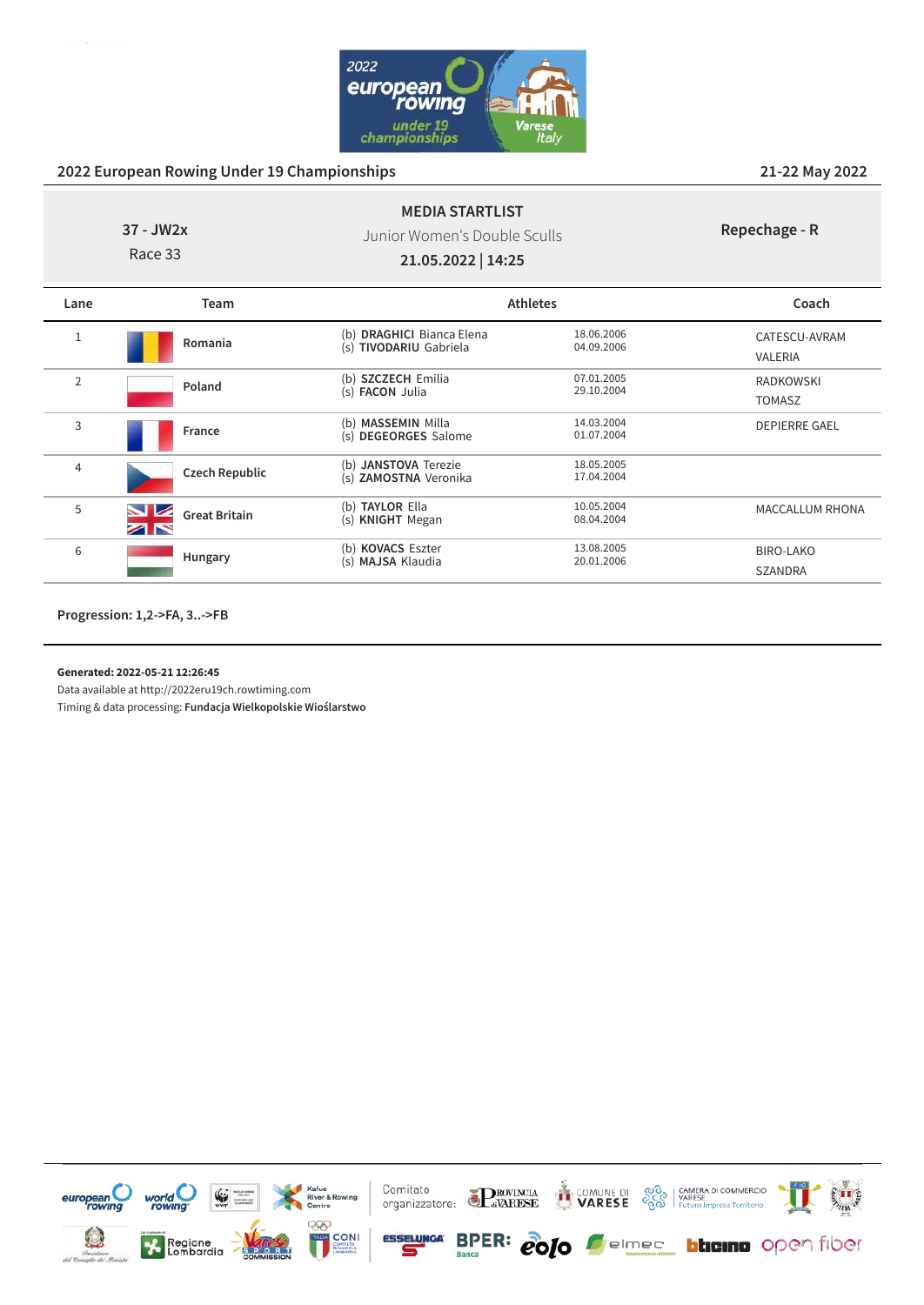

| 37 - JW2x |  |
|-----------|--|
| Race 33   |  |

Junior Women's Double Sculls

**MEDIA STARTLIST**

**Repechage - R**

**21.05.2022 | 14:25**

| Lane           | Team                  |                                                               | <b>Athletes</b>          | Coach                              |
|----------------|-----------------------|---------------------------------------------------------------|--------------------------|------------------------------------|
| 1              | Romania               | <b>DRAGHICI Bianca Elena</b><br>(b)<br>(s) TIVODARIU Gabriela | 18.06.2006<br>04.09.2006 | CATESCU-AVRAM<br>VALERIA           |
| $\overline{2}$ | Poland                | <b>SZCZECH Emilia</b><br>(b)<br>(s) <b>FACON</b> Julia        | 07.01.2005<br>29.10.2004 | <b>RADKOWSKI</b><br><b>TOMASZ</b>  |
| 3              | France                | (b) MASSEMIN Milla<br>(s) DEGEORGES Salome                    | 14.03.2004<br>01.07.2004 | <b>DEPIERRE GAEL</b>               |
| 4              | <b>Czech Republic</b> | (b) JANSTOVA Terezie<br>(s) ZAMOSTNA Veronika                 | 18.05.2005<br>17.04.2004 |                                    |
| 5              | <b>Great Britain</b>  | <b>TAYLOR Ella</b><br>(b)<br><b>KNIGHT</b> Megan<br>(s)       | 10.05.2004<br>08.04.2004 | MACCALLUM RHONA                    |
| 6              | Hungary               | (b) KOVACS Eszter<br>(s) MAJSA Klaudia                        | 13.08.2005<br>20.01.2006 | <b>BIRO-LAKO</b><br><b>SZANDRA</b> |

**Progression: 1,2->FA, 3..->FB**

**Generated: 2022-05-21 12:26:45**

Data available at http://2022eru19ch.rowtiming.com

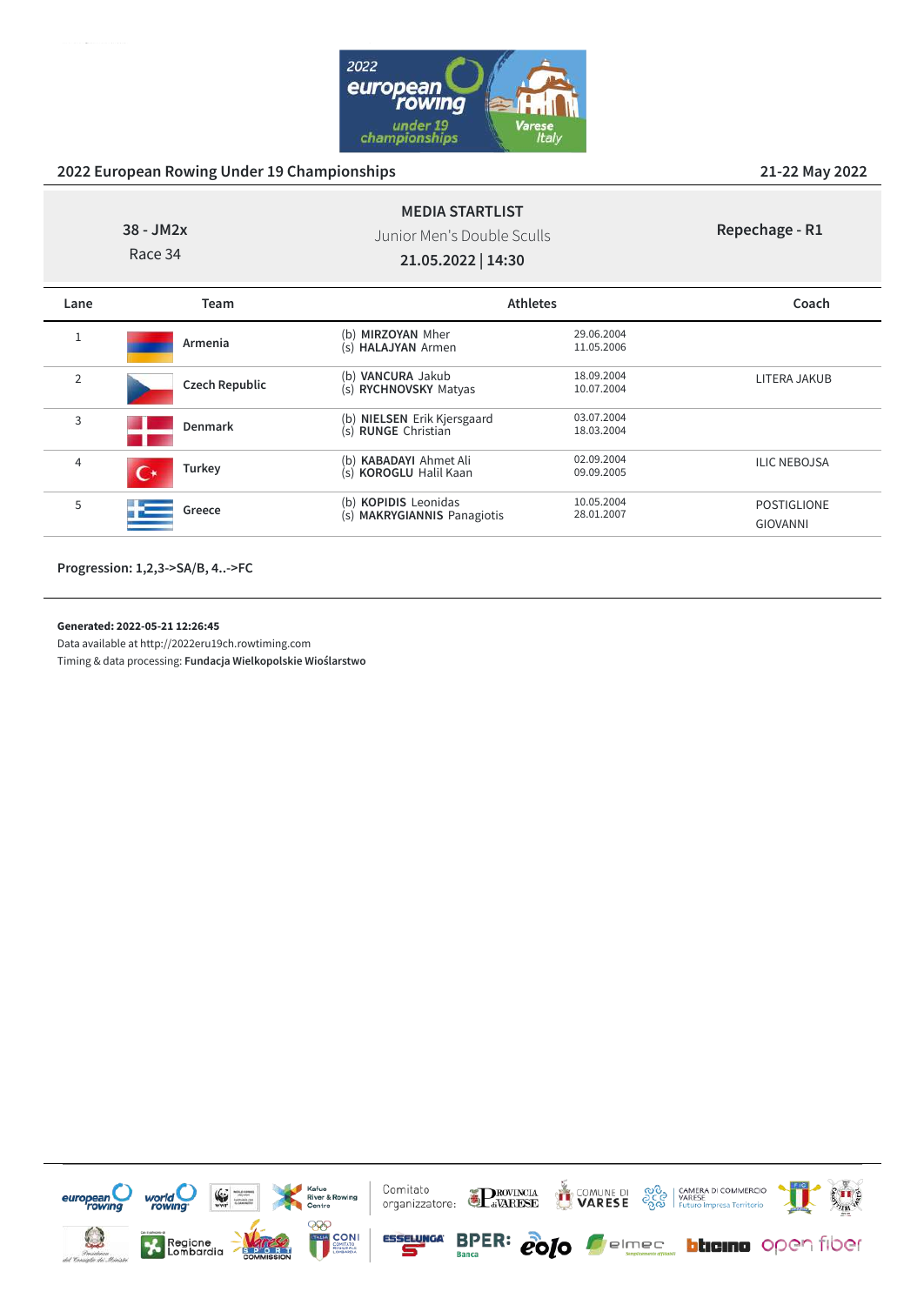

**38 - JM2x** Race 34

Junior Men's Double Sculls

**MEDIA STARTLIST**

**Repechage - R1**

**21.05.2022 | 14:30**

| Lane           | Team                  | <b>Athletes</b>                                                      |                          | Coach                   |
|----------------|-----------------------|----------------------------------------------------------------------|--------------------------|-------------------------|
|                | Armenia               | (b) MIRZOYAN Mher<br>(s) HALAJYAN Armen                              | 29.06.2004<br>11.05.2006 |                         |
| $\overline{2}$ | <b>Czech Republic</b> | <b>VANCURA Jakub</b><br>(b)<br>(s) RYCHNOVSKY Matyas                 | 18.09.2004<br>10.07.2004 | LITERA JAKUB            |
| 3              | <b>Denmark</b>        | (b) NIELSEN Erik Kjersgaard<br>(s) RUNGE Christian                   | 03.07.2004<br>18.03.2004 |                         |
| 4              | <b>Turkey</b>         | (b) <b>KABADAYI</b> Ahmet Ali<br>(s) KOROGLU Halil Kaan              | 02.09.2004<br>09.09.2005 | <b>ILIC NEBOJSA</b>     |
| 5              | Greece                | (b) <b>KOPIDIS</b> Leonidas<br><b>MAKRYGIANNIS Panagiotis</b><br>(s) | 10.05.2004<br>28.01.2007 | POSTIGLIONE<br>GIOVANNI |

**Progression: 1,2,3->SA/B, 4..->FC**

#### **Generated: 2022-05-21 12:26:45**

Data available at http://2022eru19ch.rowtiming.com

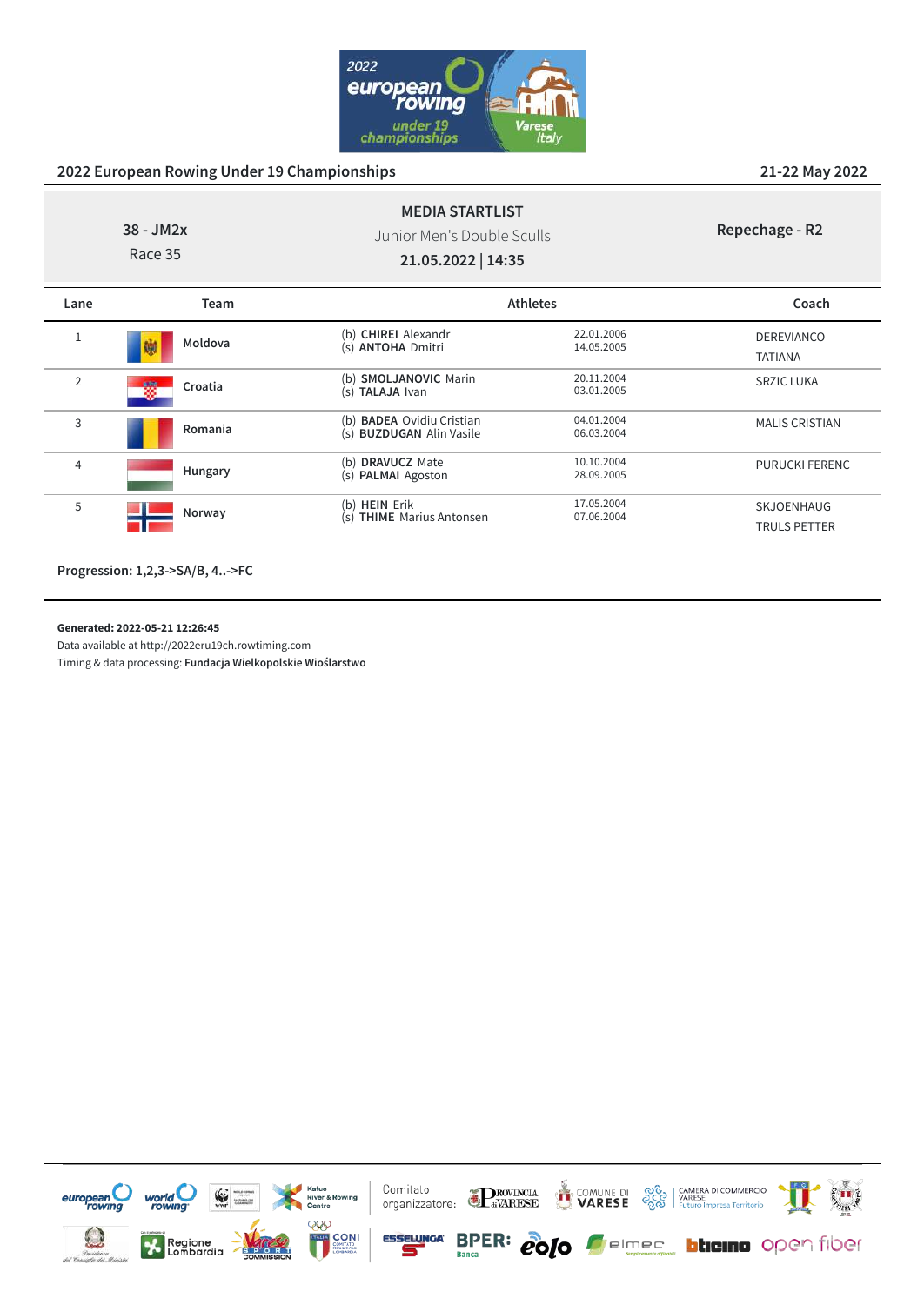

**38 - JM2x**

Junior Men's Double Sculls

**MEDIA STARTLIST**

**Repechage - R2**

Race 35

**21.05.2022 | 14:35**

| Lane           | Team         |                                                                           | <b>Athletes</b>          | Coach                               |
|----------------|--------------|---------------------------------------------------------------------------|--------------------------|-------------------------------------|
|                | Moldova<br>嚩 | (b) CHIREI Alexandr<br>(s) ANTOHA Dmitri                                  | 22.01.2006<br>14.05.2005 | <b>DEREVIANCO</b><br><b>TATIANA</b> |
| $\overline{2}$ | 磷<br>Croatia | (b) SMOLJANOVIC Marin<br><b>TALAJA Ivan</b><br>(s)                        | 20.11.2004<br>03.01.2005 | <b>SRZIC LUKA</b>                   |
| 3              | Romania      | <b>BADEA Ovidiu Cristian</b><br>(b)<br><b>BUZDUGAN Alin Vasile</b><br>(s) | 04.01.2004<br>06.03.2004 | <b>MALIS CRISTIAN</b>               |
| 4              | Hungary      | <b>DRAVUCZ Mate</b><br>(b)<br><b>PALMAI</b> Agoston<br>(s)                | 10.10.2004<br>28.09.2005 | PURUCKI FERENC                      |
| 5              | Norway       | <b>HEIN</b> Erik<br>(b)<br><b>THIME</b> Marius Antonsen<br>(s)            | 17.05.2004<br>07.06.2004 | SKJOENHAUG<br><b>TRULS PETTER</b>   |

**Progression: 1,2,3->SA/B, 4..->FC**

#### **Generated: 2022-05-21 12:26:45**

Data available at http://2022eru19ch.rowtiming.com

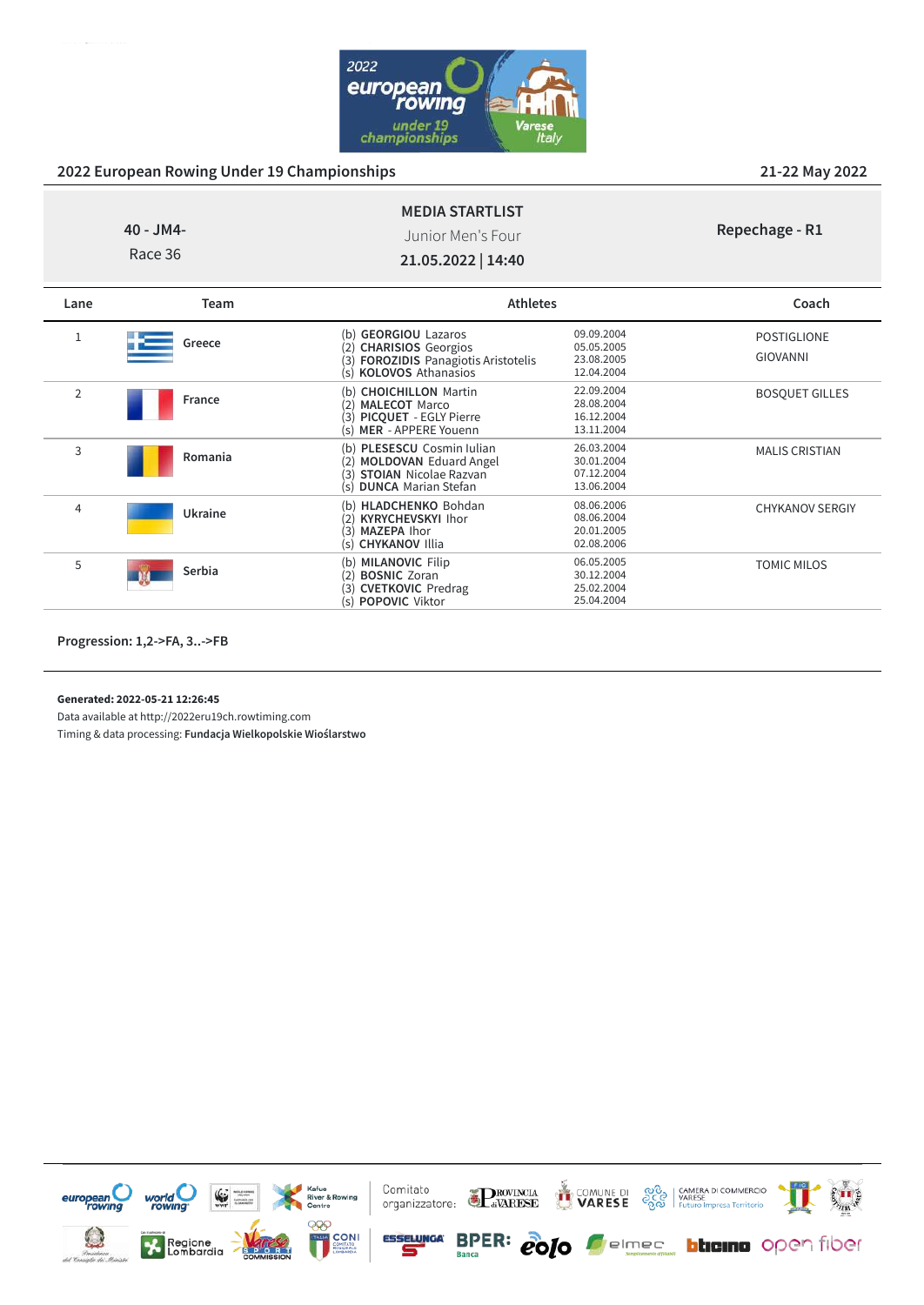

**Repechage - R1**

## **MEDIA STARTLIST** Junior Men's Four

**40 - JM4-** Race 36

**21.05.2022 | 14:40**

| Lane           | Team    | <b>Athletes</b>                                                                                                                                          |                                                      | Coach                                 |
|----------------|---------|----------------------------------------------------------------------------------------------------------------------------------------------------------|------------------------------------------------------|---------------------------------------|
| T              | Greece  | <b>GEORGIOU Lazaros</b><br>(b)<br><b>CHARISIOS</b> Georgios<br>(2)<br><b>FOROZIDIS</b> Panagiotis Aristotelis<br>(3)<br><b>KOLOVOS Athanasios</b><br>(s) | 09.09.2004<br>05.05.2005<br>23.08.2005<br>12.04.2004 | <b>POSTIGLIONE</b><br><b>GIOVANNI</b> |
| $\overline{2}$ | France  | (b) CHOICHILLON Martin<br><b>MALECOT Marco</b><br>(2)<br><b>PICOUET - EGLY Pierre</b><br>(3)<br>(s) MER - APPERE Youenn                                  | 22.09.2004<br>28.08.2004<br>16.12.2004<br>13.11.2004 | <b>BOSOUET GILLES</b>                 |
| 3              | Romania | PLESESCU Cosmin Iulian<br>(h)<br><b>MOLDOVAN Eduard Angel</b><br>(2)<br><b>STOIAN</b> Nicolae Razvan<br>(3)<br><b>DUNCA</b> Marian Stefan<br>(s)         | 26.03.2004<br>30.01.2004<br>07.12.2004<br>13.06.2004 | <b>MALIS CRISTIAN</b>                 |
| $\overline{4}$ | Ukraine | <b>HLADCHENKO</b> Bohdan<br>(b)<br><b>KYRYCHEVSKYI Ihor</b><br>(2)<br>MAZEPA Ihor<br>(3)<br>(s) CHYKANOV Illia                                           | 08.06.2006<br>08.06.2004<br>20.01.2005<br>02.08.2006 | <b>CHYKANOV SERGIY</b>                |
| 5              | Serbia  | <b>MILANOVIC Filip</b><br>(b)<br><b>BOSNIC Zoran</b><br>(2)<br><b>CVETKOVIC</b> Predrag<br>(3)<br><b>POPOVIC Viktor</b><br>(s)                           | 06.05.2005<br>30.12.2004<br>25.02.2004<br>25.04.2004 | <b>TOMIC MILOS</b>                    |

**Progression: 1,2->FA, 3..->FB**

**Generated: 2022-05-21 12:26:45**

Data available at http://2022eru19ch.rowtiming.com

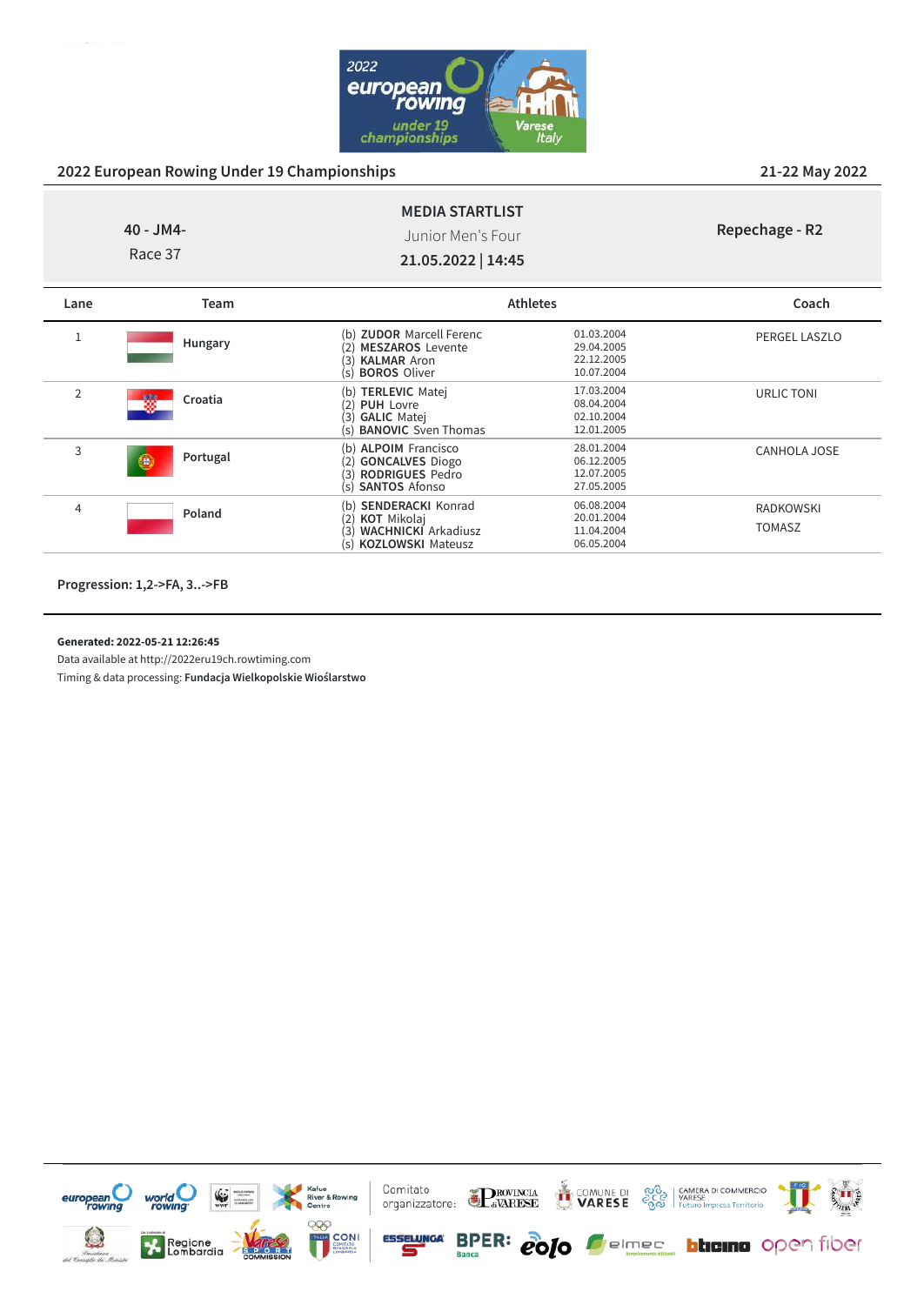

#### **40 - JM4- MEDIA STARTLIST** Junior Men's Four

**Repechage - R2**

Race 37

**21.05.2022 | 14:45**

| Lane           | Team            |                                                                                                                                                  | <b>Athletes</b>                                      | Coach                             |
|----------------|-----------------|--------------------------------------------------------------------------------------------------------------------------------------------------|------------------------------------------------------|-----------------------------------|
| 1              | Hungary         | (b) <b>ZUDOR</b> Marcell Ferenc<br><b>MESZAROS Levente</b><br>(2)<br>$\mathsf{3}$<br><b>KALMAR Aron</b><br><b>BOROS Oliver</b><br>(s)            | 01.03.2004<br>29.04.2005<br>22.12.2005<br>10.07.2004 | PERGEL LASZLO                     |
| $\overline{2}$ | 蟧<br>Croatia    | (b) TERLEVIC Matej<br>(2)<br><b>PUH Lovre</b><br>3)<br><b>GALIC Matej</b><br><b>BANOVIC</b> Sven Thomas<br>(s)                                   | 17.03.2004<br>08.04.2004<br>02.10.2004<br>12.01.2005 | URLIC TONI                        |
| 3              | Portugal<br>le, | (b) ALPOIM Francisco<br><b>GONCALVES Diogo</b><br>2)<br><b>RODRIGUES Pedro</b><br>(3)<br><b>SANTOS Afonso</b><br>(s)                             | 28.01.2004<br>06.12.2005<br>12.07.2005<br>27.05.2005 | CANHOLA JOSE                      |
| 4              | Poland          | <b>SENDERACKI Konrad</b><br>(b)<br><b>KOT</b> Mikolaj<br>$\left( 2\right)$<br>3<br><b>WACHNICKI</b> Arkadiusz<br><b>KOZLOWSKI Mateusz</b><br>(s) | 06.08.2004<br>20.01.2004<br>11.04.2004<br>06.05.2004 | <b>RADKOWSKI</b><br><b>TOMASZ</b> |

**Progression: 1,2->FA, 3..->FB**

#### **Generated: 2022-05-21 12:26:45**

Data available at http://2022eru19ch.rowtiming.com



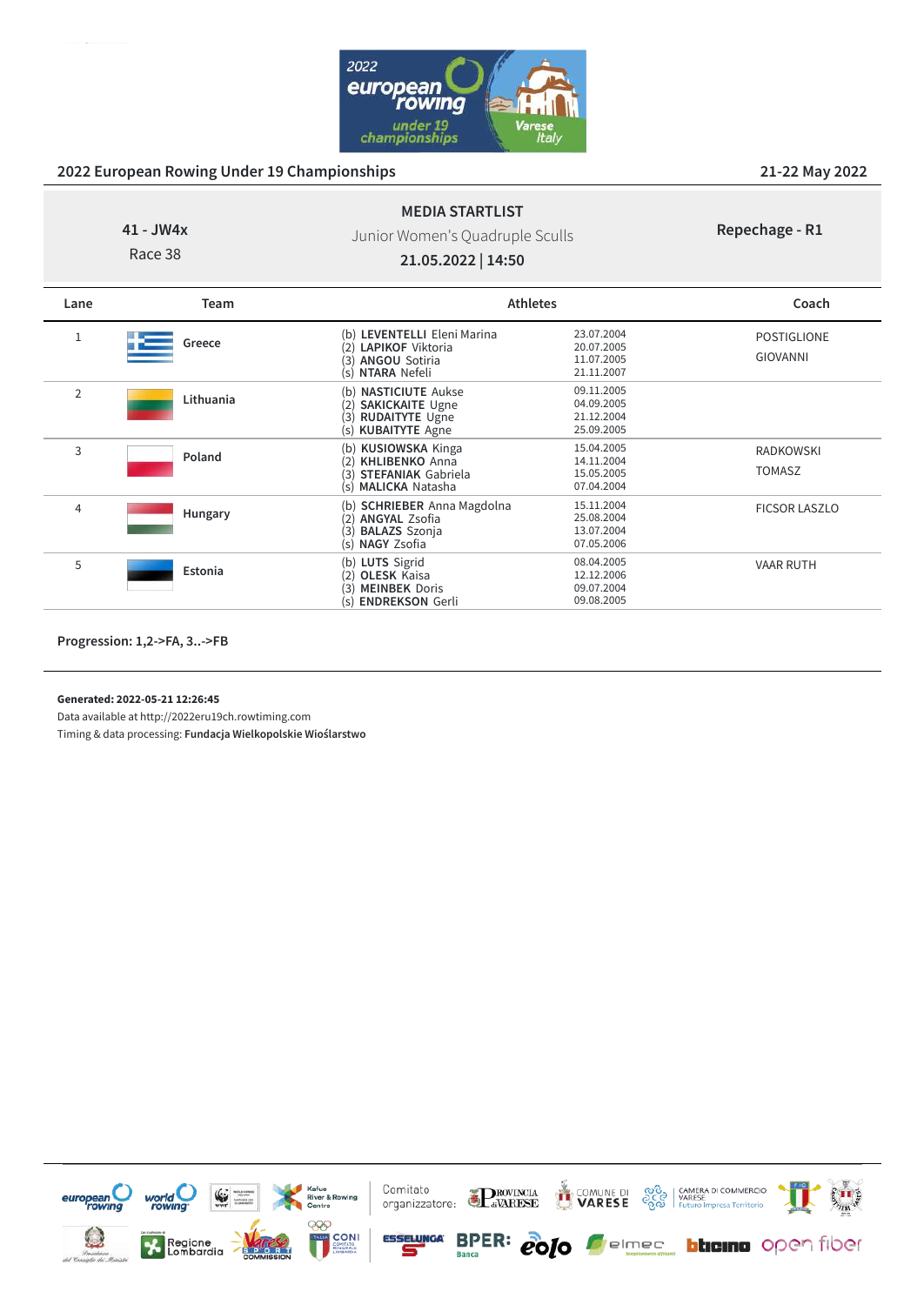

# **41 - JW4x**

Race 38

# Junior Women's Quadruple Sculls

**MEDIA STARTLIST**

#### **Repechage - R1**

**21.05.2022 | 14:50**

| Lane           | <b>Team</b> | <b>Athletes</b>                                                                                                                  |                                                      | Coach                                 |
|----------------|-------------|----------------------------------------------------------------------------------------------------------------------------------|------------------------------------------------------|---------------------------------------|
| 1              | Greece      | (b) LEVENTELLI Eleni Marina<br><b>LAPIKOF</b> Viktoria<br>(2)<br><b>ANGOU Sotiria</b><br>(3)<br>NTARA Nefeli<br>(s)              | 23.07.2004<br>20.07.2005<br>11.07.2005<br>21.11.2007 | <b>POSTIGLIONE</b><br><b>GIOVANNI</b> |
| $\overline{2}$ | Lithuania   | <b>NASTICIUTE Aukse</b><br>(b)<br><b>SAKICKAITE Ugne</b><br>(2)<br><b>RUDAITYTE Ugne</b><br>(3)<br><b>KUBAITYTE Agne</b><br>(s)  | 09.11.2005<br>04.09.2005<br>21.12.2004<br>25.09.2005 |                                       |
| 3              | Poland      | (b) KUSIOWSKA Kinga<br><b>KHLIBENKO</b> Anna<br>(2)<br><b>STEFANIAK Gabriela</b><br>3)<br><b>MALICKA</b> Natasha<br>(s)          | 15.04.2005<br>14.11.2004<br>15.05.2005<br>07.04.2004 | <b>RADKOWSKI</b><br><b>TOMASZ</b>     |
| 4              | Hungary     | <b>SCHRIEBER</b> Anna Magdolna<br>(b)<br><b>ANGYAL Zsofia</b><br>(2)<br><b>BALAZS</b> Szonja<br>้3)<br><b>NAGY Zsofia</b><br>(s) | 15.11.2004<br>25.08.2004<br>13.07.2004<br>07.05.2006 | <b>FICSOR LASZLO</b>                  |
| 5              | Estonia     | (b) LUTS Sigrid<br><b>OLESK Kaisa</b><br>'2)<br><b>MEINBEK Doris</b><br>้3)<br><b>ENDREKSON Gerli</b><br>(s)                     | 08.04.2005<br>12.12.2006<br>09.07.2004<br>09.08.2005 | <b>VAAR RUTH</b>                      |

**Progression: 1,2->FA, 3..->FB**

**Generated: 2022-05-21 12:26:45**

Data available at http://2022eru19ch.rowtiming.com

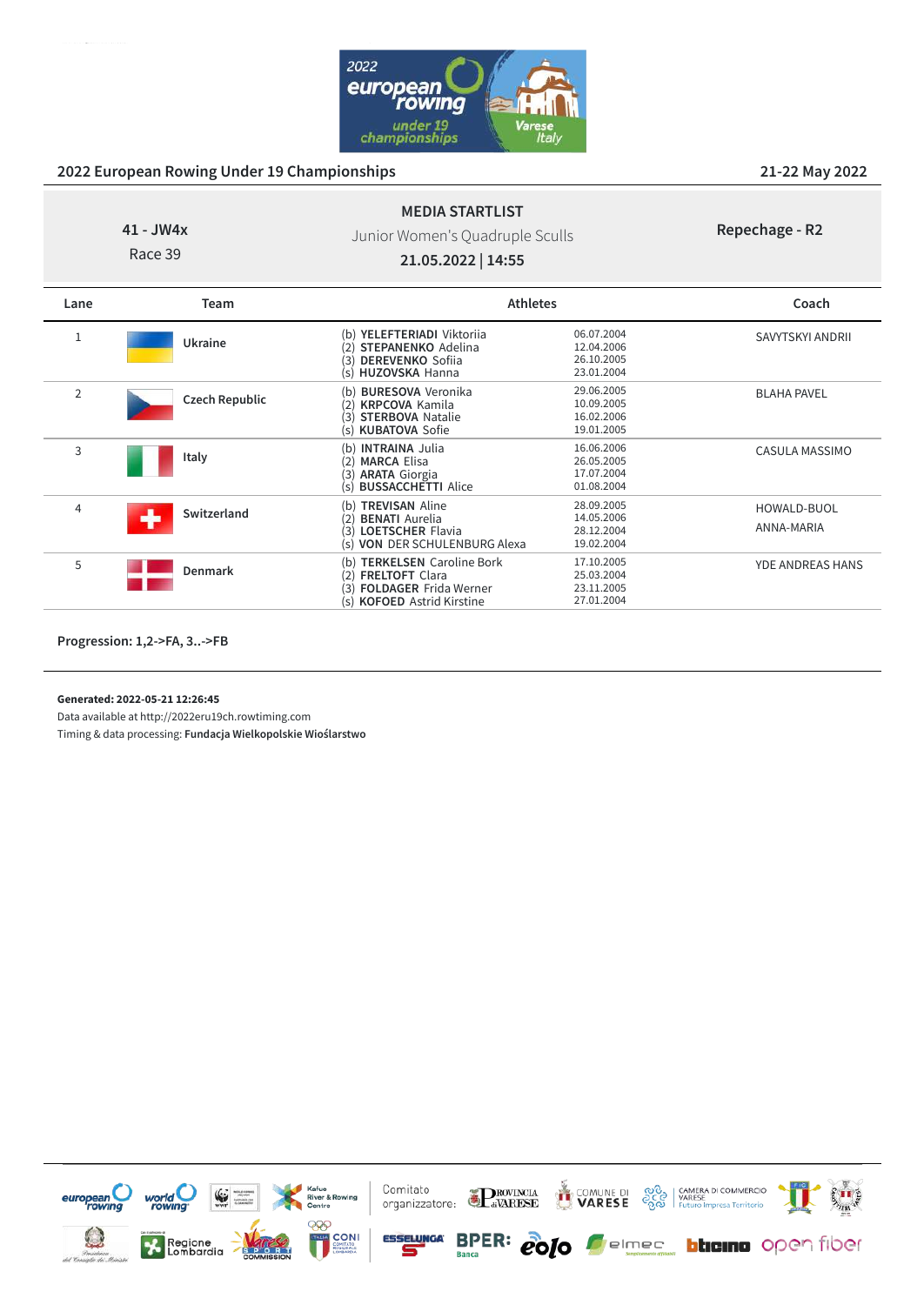

**Repechage - R2**

# **MEDIA STARTLIST** Junior Women's Quadruple Sculls

**41 - JW4x** Race 39

**21.05.2022 | 14:55**

| Lane           | Team           | <b>Athletes</b>                                                                                                                            |                                                      | Coach                            |
|----------------|----------------|--------------------------------------------------------------------------------------------------------------------------------------------|------------------------------------------------------|----------------------------------|
|                | Ukraine        | (b) YELEFTERIADI Viktoriia<br><b>STEPANENKO</b> Adelina<br>2)<br><b>DEREVENKO</b> Sofiia<br>(3)<br>(s) HUZOVSKA Hanna                      | 06.07.2004<br>12.04.2006<br>26.10.2005<br>23.01.2004 | SAVYTSKYI ANDRII                 |
| $\overline{2}$ | Czech Republic | <b>BURESOVA Veronika</b><br>(b)<br><b>KRPCOVA Kamila</b><br>2)<br><b>STERBOVA Natalie</b><br>(3)<br>(s) KUBATOVA Sofie                     | 29.06.2005<br>10.09.2005<br>16.02.2006<br>19.01.2005 | <b>BLAHA PAVEL</b>               |
| 3              | Italy          | <b>INTRAINA Julia</b><br>(b)<br><b>MARCA Elisa</b><br>(2)<br>(3) <b>ARATA</b> Giorgia<br>(s) <b>BUSSACCHETTI</b> Alice                     | 16.06.2006<br>26.05.2005<br>17.07.2004<br>01.08.2004 | CASULA MASSIMO                   |
| 4              | Switzerland    | <b>TREVISAN Aline</b><br>(b)<br><b>BENATI</b> Aurelia<br>(2)<br><b>LOETSCHER Flavia</b><br>(3)<br><b>VON DER SCHULENBURG Alexa</b><br>(s)  | 28.09.2005<br>14.05.2006<br>28.12.2004<br>19.02.2004 | <b>HOWALD-BUOL</b><br>ANNA-MARIA |
| 5              | <b>Denmark</b> | <b>TERKELSEN</b> Caroline Bork<br>(b)<br><b>FRELTOFT Clara</b><br>(2)<br><b>FOLDAGER Frida Werner</b><br>(3)<br>(s) KOFOED Astrid Kirstine | 17.10.2005<br>25.03.2004<br>23.11.2005<br>27.01.2004 | <b>YDE ANDREAS HANS</b>          |

**Progression: 1,2->FA, 3..->FB**

**Generated: 2022-05-21 12:26:45**

Data available at http://2022eru19ch.rowtiming.com

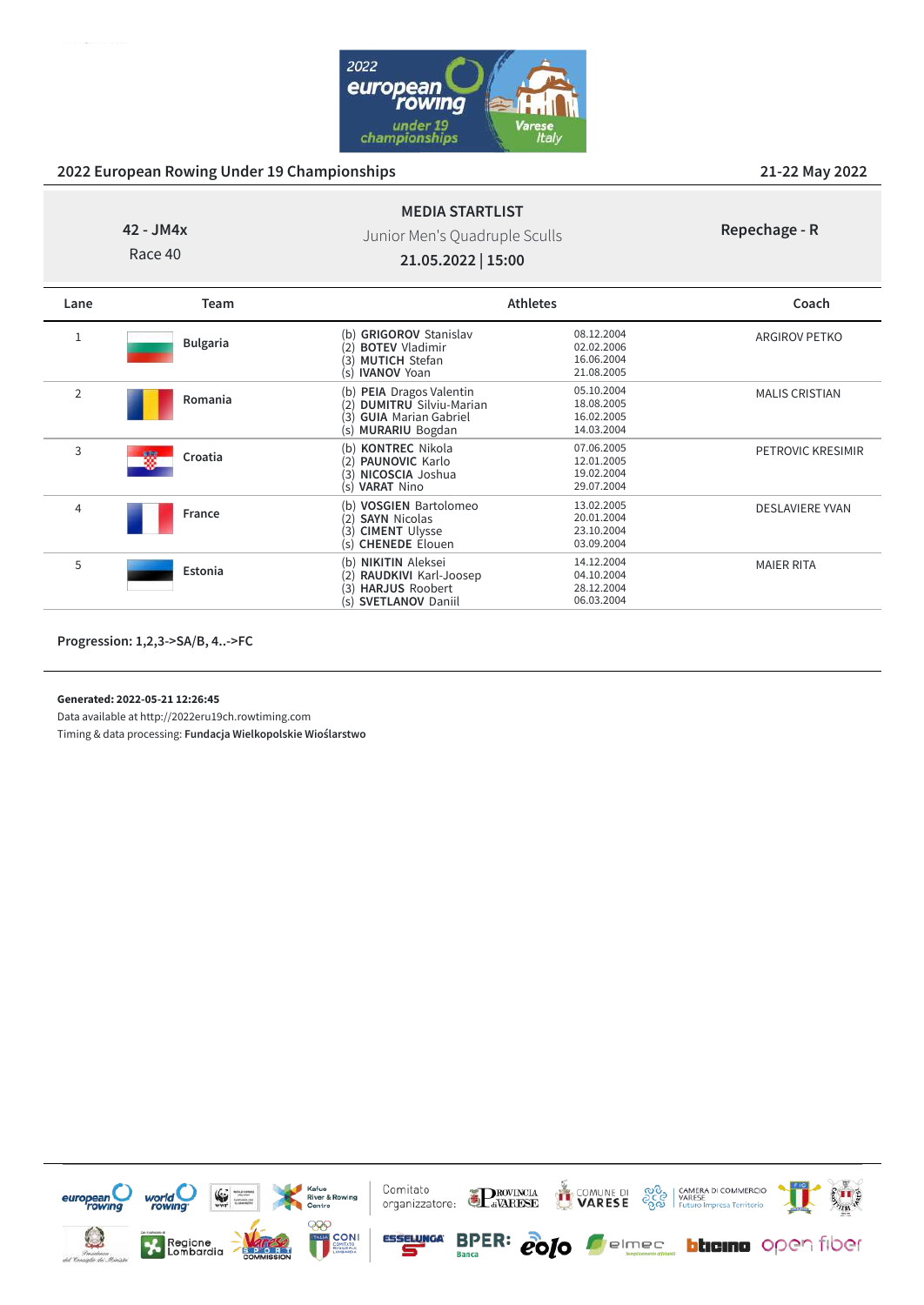

# **MEDIA STARTLIST** Junior Men's Quadruple Sculls

**42 - JM4x** Race 40

| Repechage - R |  |
|---------------|--|
|---------------|--|

**21.05.2022 | 15:00**

| Lane           | Team            |                                                                                                                                 | <b>Athletes</b>                                      | Coach                  |
|----------------|-----------------|---------------------------------------------------------------------------------------------------------------------------------|------------------------------------------------------|------------------------|
| 1              | <b>Bulgaria</b> | (b) GRIGOROV Stanislav<br><b>BOTEV Vladimir</b><br><b>MUTICH Stefan</b><br>(3)<br><b>IVANOV Yoan</b><br>(s)                     | 08.12.2004<br>02.02.2006<br>16.06.2004<br>21.08.2005 | ARGIROV PETKO          |
| $\overline{2}$ | Romania         | PEIA Dragos Valentin<br>(b)<br><b>DUMITRU</b> Silviu-Marian<br><b>GUIA</b> Marian Gabriel<br>3)<br><b>MURARIU Bogdan</b><br>(s) | 05.10.2004<br>18.08.2005<br>16.02.2005<br>14.03.2004 | <b>MALIS CRISTIAN</b>  |
| 3              | Croatia         | <b>KONTREC Nikola</b><br>(b)<br><b>PAUNOVIC Karlo</b><br>NICOSCIA Joshua<br>3)<br><b>VARAT Nino</b><br>(s)                      | 07.06.2005<br>12.01.2005<br>19.02.2004<br>29.07.2004 | PETROVIC KRESIMIR      |
| 4              | France          | (b) <b>VOSGIEN</b> Bartolomeo<br><b>SAYN Nicolas</b><br><b>CIMENT Ulysse</b><br>(3)<br><b>CHENEDE Elouen</b><br>(s)             | 13.02.2005<br>20.01.2004<br>23.10.2004<br>03.09.2004 | <b>DESLAVIERE YVAN</b> |
| 5              | Estonia         | <b>NIKITIN</b> Aleksei<br>(b)<br>RAUDKIVI Karl-Joosep<br><b>HARJUS Roobert</b><br>(3)<br><b>SVETLANOV Daniil</b><br>(S)         | 14.12.2004<br>04.10.2004<br>28.12.2004<br>06.03.2004 | <b>MAIER RITA</b>      |

**Progression: 1,2,3->SA/B, 4..->FC**

**Generated: 2022-05-21 12:26:45**

Data available at http://2022eru19ch.rowtiming.com